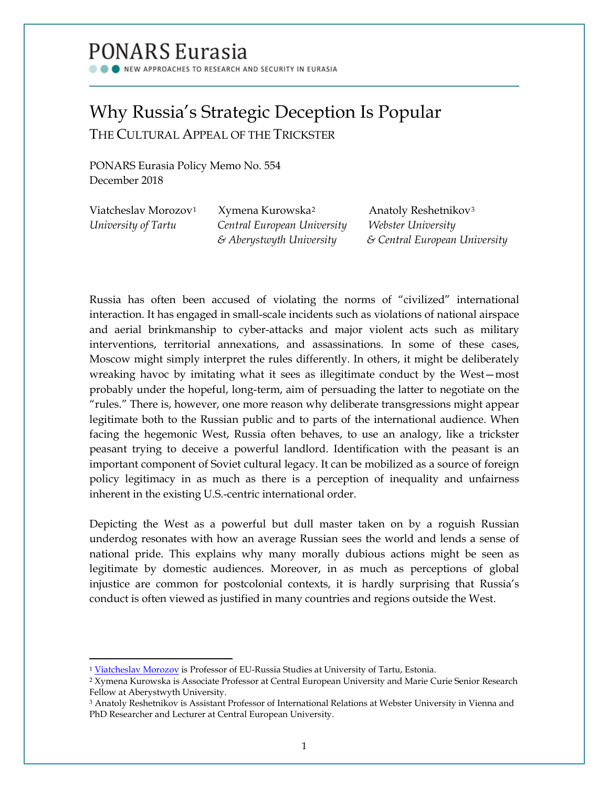# PONARS Eurasia

NEW APPROACHES TO RESEARCH AND SECURITY IN EURASIA

## Why Russia's Strategic Deception Is Popular THE CULTURAL APPEAL OF THE TRICKSTER

PONARS Eurasia Policy Memo No. 554 December 2018

| Viatcheslav Morozov <sup>1</sup> | Xymena Kurowska <sup>2</sup>        | Anatoly Reshetnikov <sup>3</sup> |
|----------------------------------|-------------------------------------|----------------------------------|
| University of Tartu              | Central European University         | Webster University               |
|                                  | $\mathcal E$ Aberystwyth University | & Central European University    |

Russia has often been accused of violating the norms of "civilized" international interaction. It has engaged in small-scale incidents such as violations of national airspace and aerial brinkmanship to cyber-attacks and major violent acts such as military interventions, territorial annexations, and assassinations. In some of these cases, Moscow might simply interpret the rules differently. In others, it might be deliberately wreaking havoc by imitating what it sees as illegitimate conduct by the West—most probably under the hopeful, long-term, aim of persuading the latter to negotiate on the "rules." There is, however, one more reason why deliberate transgressions might appear legitimate both to the Russian public and to parts of the international audience. When facing the hegemonic West, Russia often behaves, to use an analogy, like a trickster peasant trying to deceive a powerful landlord. Identification with the peasant is an important component of Soviet cultural legacy. It can be mobilized as a source of foreign policy legitimacy in as much as there is a perception of inequality and unfairness inherent in the existing U.S.-centric international order.

Depicting the West as a powerful but dull master taken on by a roguish Russian underdog resonates with how an average Russian sees the world and lends a sense of national pride. This explains why many morally dubious actions might be seen as legitimate by domestic audiences. Moreover, in as much as perceptions of global injustice are common for postcolonial contexts, it is hardly surprising that Russia's conduct is often viewed as justified in many countries and regions outside the West.

l

<sup>&</sup>lt;sup>1</sup> [Viatcheslav Morozov](http://www.ponarseurasia.org/members/viatcheslav-morozov) is Professor of EU-Russia Studies at University of Tartu, Estonia.

<span id="page-0-1"></span><span id="page-0-0"></span><sup>2</sup> Xymena Kurowska is Associate Professor at Central European University and Marie Curie Senior Research Fellow at Aberystwyth University.

<span id="page-0-2"></span><sup>3</sup> Anatoly Reshetnikov is Assistant Professor of International Relations at Webster University in Vienna and PhD Researcher and Lecturer at Central European University.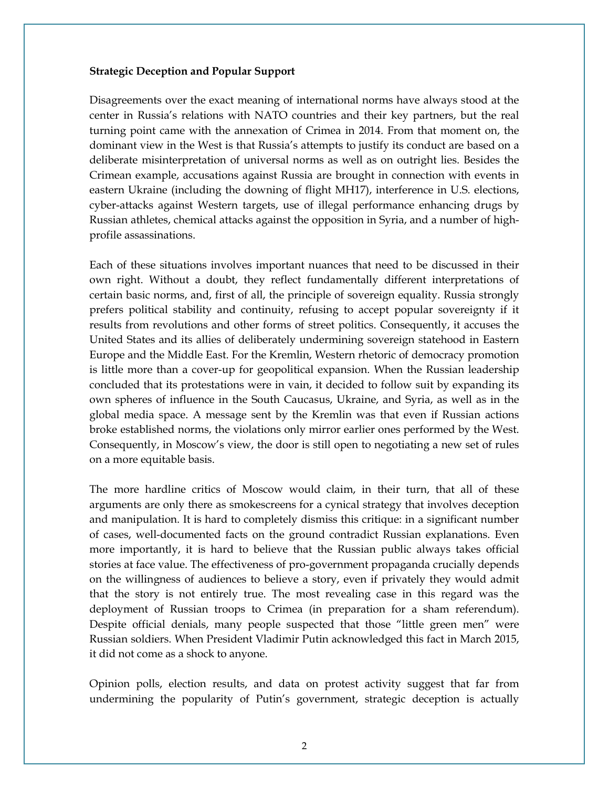#### **Strategic Deception and Popular Support**

Disagreements over the exact meaning of international norms have always stood at the center in Russia's relations with NATO countries and their key partners, but the real turning point came with the annexation of Crimea in 2014. From that moment on, the dominant view in the West is that Russia's attempts to justify its conduct are based on a deliberate misinterpretation of universal norms as well as on outright lies. Besides the Crimean example, accusations against Russia are brought in connection with events in eastern Ukraine (including the downing of flight MH17), interference in U.S. elections, cyber-attacks against Western targets, use of illegal performance enhancing drugs by Russian athletes, chemical attacks against the opposition in Syria, and a number of highprofile assassinations.

Each of these situations involves important nuances that need to be discussed in their own right. Without a doubt, they reflect fundamentally different interpretations of certain basic norms, and, first of all, the principle of sovereign equality. Russia strongly prefers political stability and continuity, refusing to accept popular sovereignty if it results from revolutions and other forms of street politics. Consequently, it accuses the United States and its allies of deliberately undermining sovereign statehood in Eastern Europe and the Middle East. For the Kremlin, Western rhetoric of democracy promotion is little more than a cover-up for geopolitical expansion. When the Russian leadership concluded that its protestations were in vain, it decided to follow suit by expanding its own spheres of influence in the South Caucasus, Ukraine, and Syria, as well as in the global media space. A message sent by the Kremlin was that even if Russian actions broke established norms, the violations only mirror earlier ones performed by the West. Consequently, in Moscow's view, the door is still open to negotiating a new set of rules on a more equitable basis.

The more hardline critics of Moscow would claim, in their turn, that all of these arguments are only there as smokescreens for a cynical strategy that involves deception and manipulation. It is hard to completely dismiss this critique: in a significant number of cases, well-documented facts on the ground contradict Russian explanations. Even more importantly, it is hard to believe that the Russian public always takes official stories at face value. The effectiveness of pro-government propaganda crucially depends on the willingness of audiences to believe a story, even if privately they would admit that the story is not entirely true. The most revealing case in this regard was the deployment of Russian troops to Crimea (in preparation for a sham referendum). Despite official denials, many people suspected that those "little green men" were Russian soldiers. When President Vladimir Putin acknowledged this fact in March 2015, it did not come as a shock to anyone.

Opinion polls, election results, and data on protest activity suggest that far from undermining the popularity of Putin's government, strategic deception is actually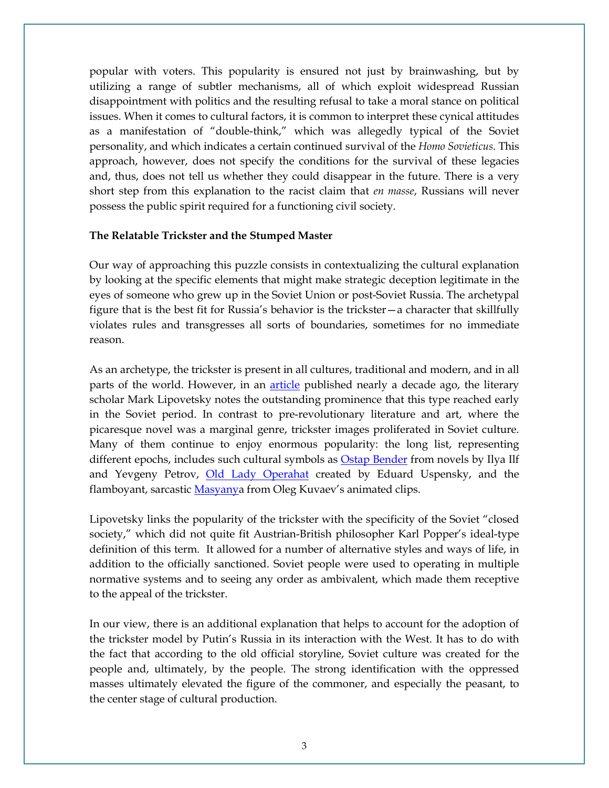popular with voters. This popularity is ensured not just by brainwashing, but by utilizing a range of subtler mechanisms, all of which exploit widespread Russian disappointment with politics and the resulting refusal to take a moral stance on political issues. When it comes to cultural factors, it is common to interpret these cynical attitudes as a manifestation of "double-think," which was allegedly typical of the Soviet personality, and which indicates a certain continued survival of the *Homo Sovieticus*. This approach, however, does not specify the conditions for the survival of these legacies and, thus, does not tell us whether they could disappear in the future. There is a very short step from this explanation to the racist claim that *en masse*, Russians will never possess the public spirit required for a functioning civil society.

#### **The Relatable Trickster and the Stumped Master**

Our way of approaching this puzzle consists in contextualizing the cultural explanation by looking at the specific elements that might make strategic deception legitimate in the eyes of someone who grew up in the Soviet Union or post-Soviet Russia. The archetypal figure that is the best fit for Russia's behavior is the trickster—a character that skillfully violates rules and transgresses all sorts of boundaries, sometimes for no immediate reason.

As an archetype, the trickster is present in all cultures, traditional and modern, and in all parts of the world. However, in an [article](http://magazines.russ.ru/nlo/2009/100/li19.html) published nearly a decade ago, the literary scholar Mark Lipovetsky notes the outstanding prominence that this type reached early in the Soviet period. In contrast to pre-revolutionary literature and art, where the picaresque novel was a marginal genre, trickster images proliferated in Soviet culture. Many of them continue to enjoy enormous popularity: the long list, representing different epochs, includes such cultural symbols as [Ostap Bender](https://en.wikipedia.org/wiki/File:Ostap_Bender_Sculpture.jpg) from novels by Ilya Ilf and Yevgeny Petrov, *[Old Lady Operahat](https://www.liveinternet.ru/users/andrew_alexandre_owie/post290800797/)* created by Eduard Uspensky, and the flamboyant, sarcastic [Masyanya](https://en.wikipedia.org/wiki/Masyanya#/media/File:Masyanya-Lokhmaty-Hryundel_from_cartoon_Russian_Punk_Rock.gif) from Oleg Kuvaev's animated clips.

Lipovetsky links the popularity of the trickster with the specificity of the Soviet "closed society," which did not quite fit Austrian-British philosopher Karl Popper's ideal-type definition of this term. It allowed for a number of alternative styles and ways of life, in addition to the officially sanctioned. Soviet people were used to operating in multiple normative systems and to seeing any order as ambivalent, which made them receptive to the appeal of the trickster.

In our view, there is an additional explanation that helps to account for the adoption of the trickster model by Putin's Russia in its interaction with the West. It has to do with the fact that according to the old official storyline, Soviet culture was created for the people and, ultimately, by the people. The strong identification with the oppressed masses ultimately elevated the figure of the commoner, and especially the peasant, to the center stage of cultural production.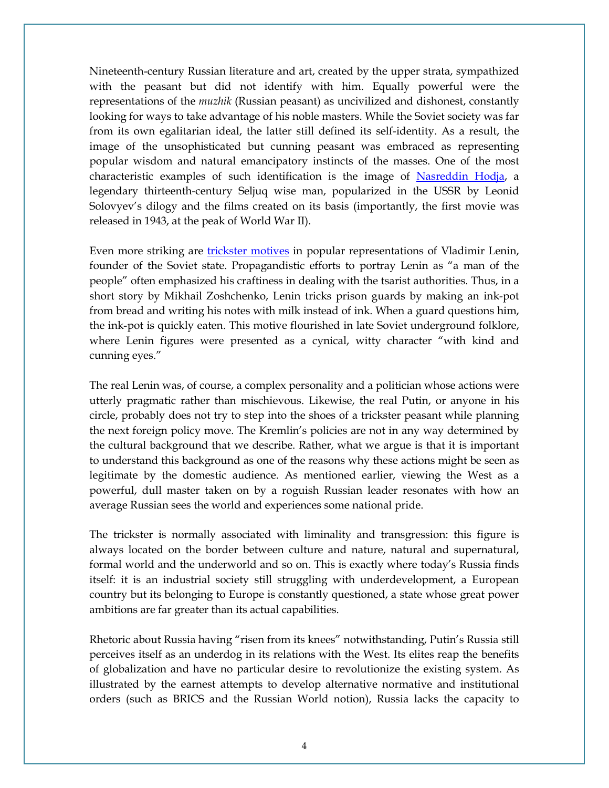Nineteenth-century Russian literature and art, created by the upper strata, sympathized with the peasant but did not identify with him. Equally powerful were the representations of the *muzhik* (Russian peasant) as uncivilized and dishonest, constantly looking for ways to take advantage of his noble masters. While the Soviet society was far from its own egalitarian ideal, the latter still defined its self-identity. As a result, the image of the unsophisticated but cunning peasant was embraced as representing popular wisdom and natural emancipatory instincts of the masses. One of the most characteristic examples of such identification is the image of [Nasreddin Hodja,](https://en.wikipedia.org/wiki/Nasreddin#/media/File:Harikalar_Diyari_Nasrettin_Hoca_05981_nevit.jpg) a legendary thirteenth-century Seljuq wise man, popularized in the USSR by Leonid Solovyev's dilogy and the films created on its basis (importantly, the first movie was released in 1943, at the peak of World War II).

Even more striking are [trickster motives](https://doi.org/10.2753/AAE1061-195938028) in popular representations of Vladimir Lenin, founder of the Soviet state. Propagandistic efforts to portray Lenin as "a man of the people" often emphasized his craftiness in dealing with the tsarist authorities. Thus, in a short story by Mikhail Zoshchenko, Lenin tricks prison guards by making an ink-pot from bread and writing his notes with milk instead of ink. When a guard questions him, the ink-pot is quickly eaten. This motive flourished in late Soviet underground folklore, where Lenin figures were presented as a cynical, witty character "with kind and cunning eyes."

The real Lenin was, of course, a complex personality and a politician whose actions were utterly pragmatic rather than mischievous. Likewise, the real Putin, or anyone in his circle, probably does not try to step into the shoes of a trickster peasant while planning the next foreign policy move. The Kremlin's policies are not in any way determined by the cultural background that we describe. Rather, what we argue is that it is important to understand this background as one of the reasons why these actions might be seen as legitimate by the domestic audience. As mentioned earlier, viewing the West as a powerful, dull master taken on by a roguish Russian leader resonates with how an average Russian sees the world and experiences some national pride.

The trickster is normally associated with liminality and transgression: this figure is always located on the border between culture and nature, natural and supernatural, formal world and the underworld and so on. This is exactly where today's Russia finds itself: it is an industrial society still struggling with underdevelopment, a European country but its belonging to Europe is constantly questioned, a state whose great power ambitions are far greater than its actual capabilities.

Rhetoric about Russia having "risen from its knees" notwithstanding, Putin's Russia still perceives itself as an underdog in its relations with the West. Its elites reap the benefits of globalization and have no particular desire to revolutionize the existing system. As illustrated by the earnest attempts to develop alternative normative and institutional orders (such as BRICS and the Russian World notion), Russia lacks the capacity to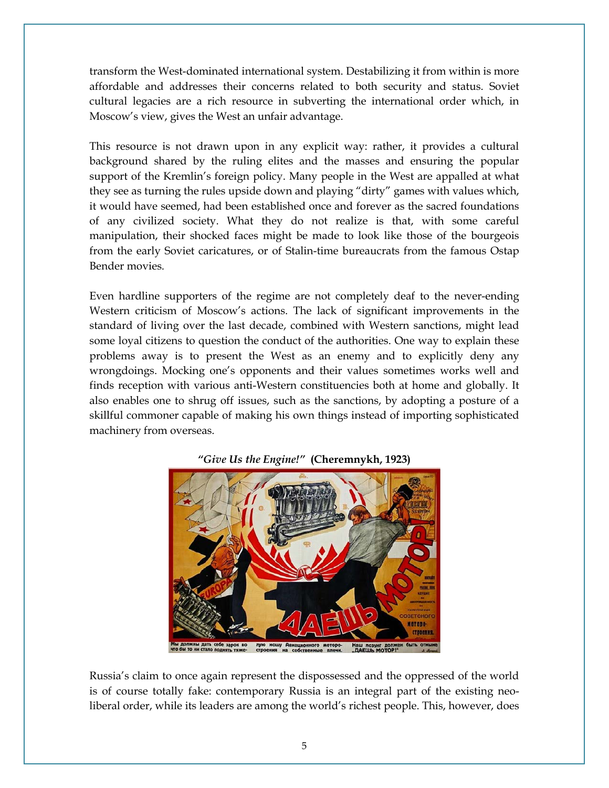transform the West-dominated international system. Destabilizing it from within is more affordable and addresses their concerns related to both security and status. Soviet cultural legacies are a rich resource in subverting the international order which, in Moscow's view, gives the West an unfair advantage.

This resource is not drawn upon in any explicit way: rather, it provides a cultural background shared by the ruling elites and the masses and ensuring the popular support of the Kremlin's foreign policy. Many people in the West are appalled at what they see as turning the rules upside down and playing "dirty" games with values which, it would have seemed, had been established once and forever as the sacred foundations of any civilized society. What they do not realize is that, with some careful manipulation, their shocked faces might be made to look like those of the bourgeois from the early Soviet caricatures, or of Stalin-time bureaucrats from the famous Ostap Bender movies.

Even hardline supporters of the regime are not completely deaf to the never-ending Western criticism of Moscow's actions. The lack of significant improvements in the standard of living over the last decade, combined with Western sanctions, might lead some loyal citizens to question the conduct of the authorities. One way to explain these problems away is to present the West as an enemy and to explicitly deny any wrongdoings. Mocking one's opponents and their values sometimes works well and finds reception with various anti-Western constituencies both at home and globally. It also enables one to shrug off issues, such as the sanctions, by adopting a posture of a skillful commoner capable of making his own things instead of importing sophisticated machinery from overseas.



### *"Give Us the Engine!"* **(Cheremnykh, 1923)**

Russia's claim to once again represent the dispossessed and the oppressed of the world is of course totally fake: contemporary Russia is an integral part of the existing neoliberal order, while its leaders are among the world's richest people. This, however, does